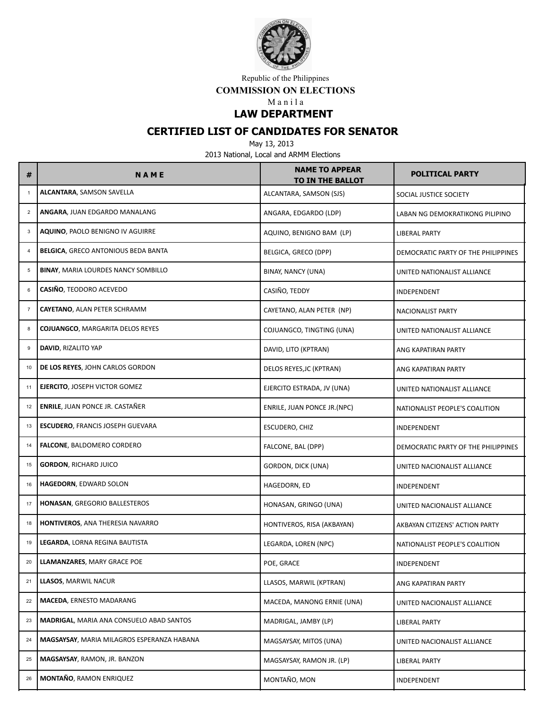

Republic of the Philippines

**COMMISSION ON ELECTIONS**

M a n i l a

**LAW DEPARTMENT**

## **CERTIFIED LIST OF CANDIDATES FOR SENATOR**

May 13, 2013

2013 National, Local and ARMM Elections

| <b>ALCANTARA, SAMSON SAVELLA</b><br>$\overline{1}$<br>ALCANTARA, SAMSON (SJS)<br>SOCIAL JUSTICE SOCIETY<br>ANGARA, JUAN EDGARDO MANALANG<br>$\overline{2}$<br>ANGARA, EDGARDO (LDP)<br>LABAN NG DEMOKRATIKONG PILIPINO<br>AQUINO, PAOLO BENIGNO IV AGUIRRE<br>3<br>AQUINO, BENIGNO BAM (LP)<br>LIBERAL PARTY<br><b>BELGICA, GRECO ANTONIOUS BEDA BANTA</b><br>$\overline{4}$<br>BELGICA, GRECO (DPP)<br>DEMOCRATIC PARTY OF THE PHILIPPINES<br><b>BINAY, MARIA LOURDES NANCY SOMBILLO</b><br>5<br>BINAY, NANCY (UNA)<br>UNITED NATIONALIST ALLIANCE<br>CASIÑO, TEODORO ACEVEDO<br>6<br>CASIÑO, TEDDY<br>INDEPENDENT<br>$\overline{7}$<br><b>CAYETANO, ALAN PETER SCHRAMM</b><br>CAYETANO, ALAN PETER (NP)<br>NACIONALIST PARTY<br><b>COJUANGCO, MARGARITA DELOS REYES</b><br>8<br>COJUANGCO, TINGTING (UNA)<br>UNITED NATIONALIST ALLIANCE<br>DAVID, RIZALITO YAP<br>9<br>DAVID, LITO (KPTRAN)<br>ANG KAPATIRAN PARTY<br>DE LOS REYES, JOHN CARLOS GORDON<br>10<br>DELOS REYES, JC (KPTRAN)<br>ANG KAPATIRAN PARTY<br>EJERCITO, JOSEPH VICTOR GOMEZ<br>11<br>EJERCITO ESTRADA, JV (UNA)<br>UNITED NATIONALIST ALLIANCE<br><b>ENRILE, JUAN PONCE JR. CASTAÑER</b><br>12<br>ENRILE, JUAN PONCE JR. (NPC)<br>NATIONALIST PEOPLE'S COALITION<br><b>ESCUDERO, FRANCIS JOSEPH GUEVARA</b><br>13<br>ESCUDERO, CHIZ<br>INDEPENDENT<br><b>FALCONE, BALDOMERO CORDERO</b><br>14<br>FALCONE, BAL (DPP)<br>DEMOCRATIC PARTY OF THE PHILIPPINES<br><b>GORDON, RICHARD JUICO</b><br>15<br>GORDON, DICK (UNA)<br>UNITED NACIONALIST ALLIANCE<br><b>HAGEDORN, EDWARD SOLON</b><br>16<br>HAGEDORN, ED<br>INDEPENDENT<br>HONASAN, GREGORIO BALLESTEROS<br>17<br>HONASAN, GRINGO (UNA)<br>UNITED NACIONALIST ALLIANCE<br>18<br><b>HONTIVEROS, ANA THERESIA NAVARRO</b><br>HONTIVEROS, RISA (AKBAYAN)<br>AKBAYAN CITIZENS' ACTION PARTY<br>LEGARDA, LORNA REGINA BAUTISTA<br>19<br>LEGARDA, LOREN (NPC)<br>NATIONALIST PEOPLE'S COALITION<br><b>LLAMANZARES, MARY GRACE POE</b><br>20<br>POE, GRACE<br>INDEPENDENT<br>LLASOS, MARWIL NACUR<br>21<br>LLASOS, MARWIL (KPTRAN)<br>ANG KAPATIRAN PARTY<br><b>MACEDA, ERNESTO MADARANG</b><br>22<br>MACEDA, MANONG ERNIE (UNA)<br>UNITED NACIONALIST ALLIANCE<br><b>MADRIGAL, MARIA ANA CONSUELO ABAD SANTOS</b><br>23<br>MADRIGAL, JAMBY (LP)<br>LIBERAL PARTY<br><b>MAGSAYSAY, MARIA MILAGROS ESPERANZA HABANA</b><br>24<br>MAGSAYSAY, MITOS (UNA)<br>UNITED NACIONALIST ALLIANCE<br>MAGSAYSAY, RAMON, JR. BANZON<br>25<br>MAGSAYSAY, RAMON JR. (LP)<br>LIBERAL PARTY<br><b>MONTAÑO, RAMON ENRIQUEZ</b><br>26<br>MONTAÑO, MON<br>INDEPENDENT | # | <b>NAME</b> | <b>NAME TO APPEAR</b><br>TO IN THE BALLOT | <b>POLITICAL PARTY</b> |
|-----------------------------------------------------------------------------------------------------------------------------------------------------------------------------------------------------------------------------------------------------------------------------------------------------------------------------------------------------------------------------------------------------------------------------------------------------------------------------------------------------------------------------------------------------------------------------------------------------------------------------------------------------------------------------------------------------------------------------------------------------------------------------------------------------------------------------------------------------------------------------------------------------------------------------------------------------------------------------------------------------------------------------------------------------------------------------------------------------------------------------------------------------------------------------------------------------------------------------------------------------------------------------------------------------------------------------------------------------------------------------------------------------------------------------------------------------------------------------------------------------------------------------------------------------------------------------------------------------------------------------------------------------------------------------------------------------------------------------------------------------------------------------------------------------------------------------------------------------------------------------------------------------------------------------------------------------------------------------------------------------------------------------------------------------------------------------------------------------------------------------------------------------------------------------------------------------------------------------------------------------------------------------------------------------------------------------------------------------------------------------------------------------------------------------------------------------------------------------------------------------------------------------------------------------------------------|---|-------------|-------------------------------------------|------------------------|
|                                                                                                                                                                                                                                                                                                                                                                                                                                                                                                                                                                                                                                                                                                                                                                                                                                                                                                                                                                                                                                                                                                                                                                                                                                                                                                                                                                                                                                                                                                                                                                                                                                                                                                                                                                                                                                                                                                                                                                                                                                                                                                                                                                                                                                                                                                                                                                                                                                                                                                                                                                       |   |             |                                           |                        |
|                                                                                                                                                                                                                                                                                                                                                                                                                                                                                                                                                                                                                                                                                                                                                                                                                                                                                                                                                                                                                                                                                                                                                                                                                                                                                                                                                                                                                                                                                                                                                                                                                                                                                                                                                                                                                                                                                                                                                                                                                                                                                                                                                                                                                                                                                                                                                                                                                                                                                                                                                                       |   |             |                                           |                        |
|                                                                                                                                                                                                                                                                                                                                                                                                                                                                                                                                                                                                                                                                                                                                                                                                                                                                                                                                                                                                                                                                                                                                                                                                                                                                                                                                                                                                                                                                                                                                                                                                                                                                                                                                                                                                                                                                                                                                                                                                                                                                                                                                                                                                                                                                                                                                                                                                                                                                                                                                                                       |   |             |                                           |                        |
|                                                                                                                                                                                                                                                                                                                                                                                                                                                                                                                                                                                                                                                                                                                                                                                                                                                                                                                                                                                                                                                                                                                                                                                                                                                                                                                                                                                                                                                                                                                                                                                                                                                                                                                                                                                                                                                                                                                                                                                                                                                                                                                                                                                                                                                                                                                                                                                                                                                                                                                                                                       |   |             |                                           |                        |
|                                                                                                                                                                                                                                                                                                                                                                                                                                                                                                                                                                                                                                                                                                                                                                                                                                                                                                                                                                                                                                                                                                                                                                                                                                                                                                                                                                                                                                                                                                                                                                                                                                                                                                                                                                                                                                                                                                                                                                                                                                                                                                                                                                                                                                                                                                                                                                                                                                                                                                                                                                       |   |             |                                           |                        |
|                                                                                                                                                                                                                                                                                                                                                                                                                                                                                                                                                                                                                                                                                                                                                                                                                                                                                                                                                                                                                                                                                                                                                                                                                                                                                                                                                                                                                                                                                                                                                                                                                                                                                                                                                                                                                                                                                                                                                                                                                                                                                                                                                                                                                                                                                                                                                                                                                                                                                                                                                                       |   |             |                                           |                        |
|                                                                                                                                                                                                                                                                                                                                                                                                                                                                                                                                                                                                                                                                                                                                                                                                                                                                                                                                                                                                                                                                                                                                                                                                                                                                                                                                                                                                                                                                                                                                                                                                                                                                                                                                                                                                                                                                                                                                                                                                                                                                                                                                                                                                                                                                                                                                                                                                                                                                                                                                                                       |   |             |                                           |                        |
|                                                                                                                                                                                                                                                                                                                                                                                                                                                                                                                                                                                                                                                                                                                                                                                                                                                                                                                                                                                                                                                                                                                                                                                                                                                                                                                                                                                                                                                                                                                                                                                                                                                                                                                                                                                                                                                                                                                                                                                                                                                                                                                                                                                                                                                                                                                                                                                                                                                                                                                                                                       |   |             |                                           |                        |
|                                                                                                                                                                                                                                                                                                                                                                                                                                                                                                                                                                                                                                                                                                                                                                                                                                                                                                                                                                                                                                                                                                                                                                                                                                                                                                                                                                                                                                                                                                                                                                                                                                                                                                                                                                                                                                                                                                                                                                                                                                                                                                                                                                                                                                                                                                                                                                                                                                                                                                                                                                       |   |             |                                           |                        |
|                                                                                                                                                                                                                                                                                                                                                                                                                                                                                                                                                                                                                                                                                                                                                                                                                                                                                                                                                                                                                                                                                                                                                                                                                                                                                                                                                                                                                                                                                                                                                                                                                                                                                                                                                                                                                                                                                                                                                                                                                                                                                                                                                                                                                                                                                                                                                                                                                                                                                                                                                                       |   |             |                                           |                        |
|                                                                                                                                                                                                                                                                                                                                                                                                                                                                                                                                                                                                                                                                                                                                                                                                                                                                                                                                                                                                                                                                                                                                                                                                                                                                                                                                                                                                                                                                                                                                                                                                                                                                                                                                                                                                                                                                                                                                                                                                                                                                                                                                                                                                                                                                                                                                                                                                                                                                                                                                                                       |   |             |                                           |                        |
|                                                                                                                                                                                                                                                                                                                                                                                                                                                                                                                                                                                                                                                                                                                                                                                                                                                                                                                                                                                                                                                                                                                                                                                                                                                                                                                                                                                                                                                                                                                                                                                                                                                                                                                                                                                                                                                                                                                                                                                                                                                                                                                                                                                                                                                                                                                                                                                                                                                                                                                                                                       |   |             |                                           |                        |
|                                                                                                                                                                                                                                                                                                                                                                                                                                                                                                                                                                                                                                                                                                                                                                                                                                                                                                                                                                                                                                                                                                                                                                                                                                                                                                                                                                                                                                                                                                                                                                                                                                                                                                                                                                                                                                                                                                                                                                                                                                                                                                                                                                                                                                                                                                                                                                                                                                                                                                                                                                       |   |             |                                           |                        |
|                                                                                                                                                                                                                                                                                                                                                                                                                                                                                                                                                                                                                                                                                                                                                                                                                                                                                                                                                                                                                                                                                                                                                                                                                                                                                                                                                                                                                                                                                                                                                                                                                                                                                                                                                                                                                                                                                                                                                                                                                                                                                                                                                                                                                                                                                                                                                                                                                                                                                                                                                                       |   |             |                                           |                        |
|                                                                                                                                                                                                                                                                                                                                                                                                                                                                                                                                                                                                                                                                                                                                                                                                                                                                                                                                                                                                                                                                                                                                                                                                                                                                                                                                                                                                                                                                                                                                                                                                                                                                                                                                                                                                                                                                                                                                                                                                                                                                                                                                                                                                                                                                                                                                                                                                                                                                                                                                                                       |   |             |                                           |                        |
|                                                                                                                                                                                                                                                                                                                                                                                                                                                                                                                                                                                                                                                                                                                                                                                                                                                                                                                                                                                                                                                                                                                                                                                                                                                                                                                                                                                                                                                                                                                                                                                                                                                                                                                                                                                                                                                                                                                                                                                                                                                                                                                                                                                                                                                                                                                                                                                                                                                                                                                                                                       |   |             |                                           |                        |
|                                                                                                                                                                                                                                                                                                                                                                                                                                                                                                                                                                                                                                                                                                                                                                                                                                                                                                                                                                                                                                                                                                                                                                                                                                                                                                                                                                                                                                                                                                                                                                                                                                                                                                                                                                                                                                                                                                                                                                                                                                                                                                                                                                                                                                                                                                                                                                                                                                                                                                                                                                       |   |             |                                           |                        |
|                                                                                                                                                                                                                                                                                                                                                                                                                                                                                                                                                                                                                                                                                                                                                                                                                                                                                                                                                                                                                                                                                                                                                                                                                                                                                                                                                                                                                                                                                                                                                                                                                                                                                                                                                                                                                                                                                                                                                                                                                                                                                                                                                                                                                                                                                                                                                                                                                                                                                                                                                                       |   |             |                                           |                        |
|                                                                                                                                                                                                                                                                                                                                                                                                                                                                                                                                                                                                                                                                                                                                                                                                                                                                                                                                                                                                                                                                                                                                                                                                                                                                                                                                                                                                                                                                                                                                                                                                                                                                                                                                                                                                                                                                                                                                                                                                                                                                                                                                                                                                                                                                                                                                                                                                                                                                                                                                                                       |   |             |                                           |                        |
|                                                                                                                                                                                                                                                                                                                                                                                                                                                                                                                                                                                                                                                                                                                                                                                                                                                                                                                                                                                                                                                                                                                                                                                                                                                                                                                                                                                                                                                                                                                                                                                                                                                                                                                                                                                                                                                                                                                                                                                                                                                                                                                                                                                                                                                                                                                                                                                                                                                                                                                                                                       |   |             |                                           |                        |
|                                                                                                                                                                                                                                                                                                                                                                                                                                                                                                                                                                                                                                                                                                                                                                                                                                                                                                                                                                                                                                                                                                                                                                                                                                                                                                                                                                                                                                                                                                                                                                                                                                                                                                                                                                                                                                                                                                                                                                                                                                                                                                                                                                                                                                                                                                                                                                                                                                                                                                                                                                       |   |             |                                           |                        |
|                                                                                                                                                                                                                                                                                                                                                                                                                                                                                                                                                                                                                                                                                                                                                                                                                                                                                                                                                                                                                                                                                                                                                                                                                                                                                                                                                                                                                                                                                                                                                                                                                                                                                                                                                                                                                                                                                                                                                                                                                                                                                                                                                                                                                                                                                                                                                                                                                                                                                                                                                                       |   |             |                                           |                        |
|                                                                                                                                                                                                                                                                                                                                                                                                                                                                                                                                                                                                                                                                                                                                                                                                                                                                                                                                                                                                                                                                                                                                                                                                                                                                                                                                                                                                                                                                                                                                                                                                                                                                                                                                                                                                                                                                                                                                                                                                                                                                                                                                                                                                                                                                                                                                                                                                                                                                                                                                                                       |   |             |                                           |                        |
|                                                                                                                                                                                                                                                                                                                                                                                                                                                                                                                                                                                                                                                                                                                                                                                                                                                                                                                                                                                                                                                                                                                                                                                                                                                                                                                                                                                                                                                                                                                                                                                                                                                                                                                                                                                                                                                                                                                                                                                                                                                                                                                                                                                                                                                                                                                                                                                                                                                                                                                                                                       |   |             |                                           |                        |
|                                                                                                                                                                                                                                                                                                                                                                                                                                                                                                                                                                                                                                                                                                                                                                                                                                                                                                                                                                                                                                                                                                                                                                                                                                                                                                                                                                                                                                                                                                                                                                                                                                                                                                                                                                                                                                                                                                                                                                                                                                                                                                                                                                                                                                                                                                                                                                                                                                                                                                                                                                       |   |             |                                           |                        |
|                                                                                                                                                                                                                                                                                                                                                                                                                                                                                                                                                                                                                                                                                                                                                                                                                                                                                                                                                                                                                                                                                                                                                                                                                                                                                                                                                                                                                                                                                                                                                                                                                                                                                                                                                                                                                                                                                                                                                                                                                                                                                                                                                                                                                                                                                                                                                                                                                                                                                                                                                                       |   |             |                                           |                        |